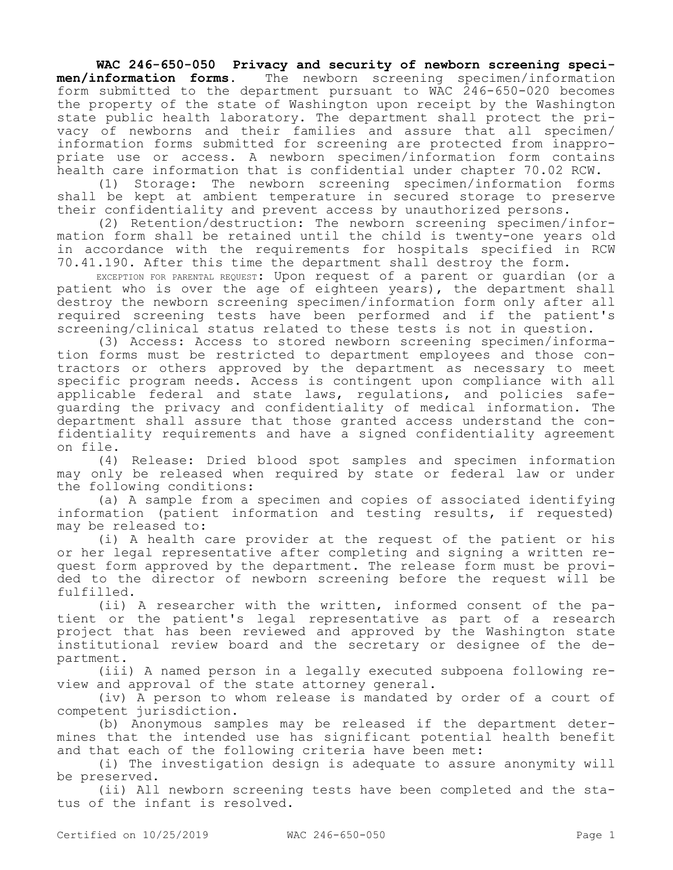## **WAC 246-650-050 Privacy and security of newborn screening speci-<br>men/information forms.** The newborn screening specimen/information **men/information forms.** The newborn screening specimen/information form submitted to the department pursuant to WAC 246-650-020 becomes the property of the state of Washington upon receipt by the Washington state public health laboratory. The department shall protect the privacy of newborns and their families and assure that all specimen/ information forms submitted for screening are protected from inappropriate use or access. A newborn specimen/information form contains health care information that is confidential under chapter 70.02 RCW.

(1) Storage: The newborn screening specimen/information forms shall be kept at ambient temperature in secured storage to preserve their confidentiality and prevent access by unauthorized persons.

(2) Retention/destruction: The newborn screening specimen/information form shall be retained until the child is twenty-one years old in accordance with the requirements for hospitals specified in RCW 70.41.190. After this time the department shall destroy the form.

EXCEPTION FOR PARENTAL REQUEST: Upon request of a parent or guardian (or a patient who is over the age of eighteen years), the department shall destroy the newborn screening specimen/information form only after all required screening tests have been performed and if the patient's screening/clinical status related to these tests is not in question.

(3) Access: Access to stored newborn screening specimen/information forms must be restricted to department employees and those contractors or others approved by the department as necessary to meet specific program needs. Access is contingent upon compliance with all applicable federal and state laws, regulations, and policies safeguarding the privacy and confidentiality of medical information. The department shall assure that those granted access understand the confidentiality requirements and have a signed confidentiality agreement on file.

(4) Release: Dried blood spot samples and specimen information may only be released when required by state or federal law or under the following conditions:

(a) A sample from a specimen and copies of associated identifying information (patient information and testing results, if requested) may be released to:

(i) A health care provider at the request of the patient or his or her legal representative after completing and signing a written request form approved by the department. The release form must be provided to the director of newborn screening before the request will be fulfilled.

(ii) A researcher with the written, informed consent of the patient or the patient's legal representative as part of a research project that has been reviewed and approved by the Washington state institutional review board and the secretary or designee of the department.

(iii) A named person in a legally executed subpoena following review and approval of the state attorney general.

(iv) A person to whom release is mandated by order of a court of competent jurisdiction.

(b) Anonymous samples may be released if the department determines that the intended use has significant potential health benefit and that each of the following criteria have been met:

(i) The investigation design is adequate to assure anonymity will be preserved.

(ii) All newborn screening tests have been completed and the status of the infant is resolved.